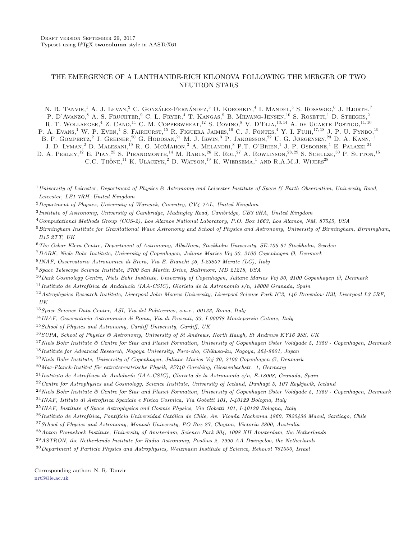# THE EMERGENCE OF A LANTHANIDE-RICH KILONOVA FOLLOWING THE MERGER OF TWO NEUTRON STARS

N. R. TANVIR.<sup>1</sup> A. J. Levan.<sup>2</sup> C. González-Fernández.<sup>3</sup> O. Korobkin.<sup>4</sup> I. Mandel.<sup>5</sup> S. Rosswog.<sup>6</sup> J. Hjorth.<sup>7</sup> P. D'Avanzo,<sup>8</sup> A. S. Fruchter,<sup>9</sup> C. L. Fryer,<sup>4</sup> T. Kangas,<sup>9</sup> B. Milvang-Jensen,<sup>10</sup> S. Rosetti,<sup>1</sup> D. Steeghs,<sup>2</sup> R. T. WOLLAEGER,<sup>4</sup> Z. CANO,<sup>11</sup> C. M. COPPERWHEAT,<sup>12</sup> S. COVINO,<sup>8</sup> V. D'ELIA,<sup>13,14</sup> A. DE UGARTE POSTIGO,<sup>11,10</sup> P. A. Evans,<sup>1</sup> W. P. Even,<sup>4</sup> S. Fairhurst,<sup>15</sup> R. Figuera Jaimes,<sup>16</sup> C. J. Fontes,<sup>4</sup> Y. I. Fujii,<sup>17, 18</sup> J. P. U. Fynbo,<sup>19</sup>

B. P. GOMPERTZ.<sup>2</sup> J. GREINER.<sup>20</sup> G. HODOSAN.<sup>21</sup> M. J. IRWIN.<sup>3</sup> P. JAKOBSSON.<sup>22</sup> U. G. JØRGENSEN.<sup>23</sup> D. A. KANN.<sup>11</sup>

J. D. Lyman,<sup>2</sup> D. Malesani,<sup>19</sup> R. G. McMahon,<sup>3</sup> A. Melandri,<sup>8</sup> P.T. O'Brien,<sup>1</sup> J. P. Osborne,<sup>1</sup> E. Palazzi.<sup>24</sup>

D. A. PERLEY,<sup>12</sup> E. PIAN,<sup>25</sup> S. PIRANOMONTE,<sup>14</sup> M. RABUS,<sup>26</sup> E. ROL,<sup>27</sup> A. ROWLINSON,<sup>28,29</sup> S. SCHULZE,<sup>30</sup> P. SUTTON,<sup>15</sup> C.C. THONE, <sup>11</sup> K. ULACZYK, <sup>2</sup> D. WATSON, <sup>19</sup> K. WIERSEMA, <sup>1</sup> AND R.A.M.J. WLIERS<sup>28</sup>

<sup>1</sup> University of Leicester, Department of Physics & Astronomy and Leicester Institute of Space & Earth Observation, University Road, Leicester, LE1 7RH, United Kingdom

 ${}^{2}$ Department of Physics, University of Warwick, Coventry, CV4 7AL, United Kingdom

<sup>3</sup> Institute of Astronomy, University of Cambridge, Madingley Road, Cambridge, CB3 0HA, United Kingdom

<sup>4</sup>Computational Methods Group (CCS-2), Los Alamos National Laboratory, P.O. Box 1663, Los Alamos, NM, 87545, USA

<sup>5</sup> Birmingham Institute for Gravitational Wave Astronomy and School of Physics and Astronomy, University of Birmingham, Birmingham, B15 2TT, UK

<sup>6</sup>The Oskar Klein Centre, Department of Astronomy, AlbaNova, Stockholm University, SE-106 91 Stockholm, Sweden

<sup>7</sup>DARK, Niels Bohr Institute, University of Copenhagen, Juliane Maries Vej 30, 2100 Copenhagen Ø, Denmark

8 INAF, Osservatorio Astronomico di Brera, Via E. Bianchi 46, I-23807 Merate (LC), Italy

<sup>9</sup>Space Telescope Science Institute, 3700 San Martin Drive, Baltimore, MD 21218, USA

 $10$  Dark Cosmology Centre, Niels Bohr Institute, University of Copenhagen, Juliane Maries Vej 30, 2100 Copenhagen Ø, Denmark

<sup>11</sup>Instituto de Astrofísica de Andalucía (IAA-CSIC), Glorieta de la Astronomía s/n, 18008 Granada, Spain

<sup>12</sup> Astrophysics Research Institute, Liverpool John Moores University, Liverpool Science Park IC2, 146 Brownlow Hill, Liverpool L3 5RF, UK

<sup>13</sup>Space Science Data Center, ASI, Via del Politecnico, s.n.c., 00133, Roma, Italy

<sup>14</sup>INAF, Osservatorio Astronomico di Roma, Via di Frascati, 33, I-00078 Monteporzio Catone, Italy

 $15$  School of Physics and Astronomy, Cardiff University, Cardiff, UK

 $^{16}$ SUPA, School of Physics & Astronomy, University of St Andrews, North Haugh, St Andrews KY16 9SS, UK

<sup>17</sup> Niels Bohr Institute  $\&$  Centre for Star and Planet Formation, University of Copenhagen Øster Voldgade 5, 1350 - Copenhagen, Denmark

<sup>18</sup>Institute for Advanced Research, Nagoya University, Furo-cho, Chikusa-ku, Nagoya, 464-8601, Japan

<sup>19</sup>Niels Bohr Institute, University of Copenhagen, Juliane Maries Vej 30, 2100 Copenhagen Ø, Denmark

 $^{20}\,Max\text{-}Planck\text{-}Institut$  für extraterrestrische Physik, 85740 Garching, Giessenbachstr. 1, Germany

 $^{21}$ Instituto de Astrofísica de Andalucía (IAA-CSIC), Glorieta de la Astronomía s/n, E-18008, Granada, Spain

 $^{22}$ Centre for Astrophysics and Cosmology, Science Institute, University of Iceland, Dunhagi 5, 107 Reykjavík, Iceland

 $^{23}$  Niels Bohr Institute & Centre for Star and Planet Formation, University of Copenhagen Øster Voldgade 5, 1350 - Copenhagen, Denmark

<sup>24</sup>INAF, Istituto di Astrofisica Spaziale e Fisica Cosmica, Via Gobetti 101, I-40129 Bologna, Italy

<sup>25</sup>INAF, Institute of Space Astrophysics and Cosmic Physics, Via Gobetti 101, I-40129 Bologna, Italy

 $^{26}$ Instituto de Astrofísica, Pontificia Universidad Católica de Chile, Av. Vicuña Mackenna 4860, 7820436 Macul, Santiago, Chile

<sup>27</sup>School of Physics and Astronomy, Monash University, PO Box 27, Clayton, Victoria 3800, Australia

<sup>28</sup> Anton Pannekoek Institute, University of Amsterdam, Science Park 904, 1098 XH Amsterdam, the Netherlands

<sup>29</sup>ASTRON, the Netherlands Institute for Radio Astronomy, Postbus 2, 7990 AA Dwingeloo, the Netherlands

 $30$ Department of Particle Physics and Astrophysics, Weizmann Institute of Science, Rehovot 761000, Israel

Corresponding author: N. R. Tanvir [nrt3@le.ac.uk](mailto: nrt3@le.ac.uk)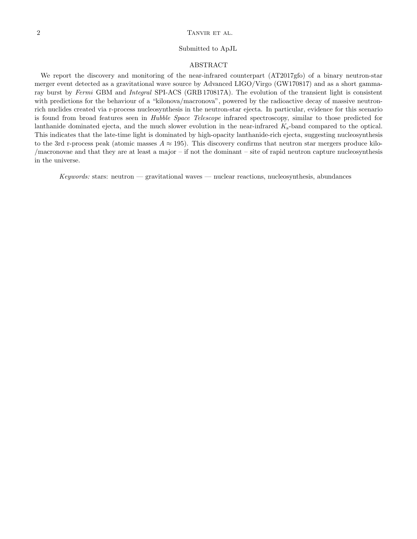# 2 TANVIR ET AL.

### Submitted to ApJL

# ABSTRACT

We report the discovery and monitoring of the near-infrared counterpart (AT2017gfo) of a binary neutron-star merger event detected as a gravitational wave source by Advanced LIGO/Virgo (GW170817) and as a short gammaray burst by Fermi GBM and Integral SPI-ACS (GRB 170817A). The evolution of the transient light is consistent with predictions for the behaviour of a "kilonova/macronova", powered by the radioactive decay of massive neutronrich nuclides created via r-process nucleosynthesis in the neutron-star ejecta. In particular, evidence for this scenario is found from broad features seen in Hubble Space Telescope infrared spectroscopy, similar to those predicted for lanthanide dominated ejecta, and the much slower evolution in the near-infrared  $K_s$ -band compared to the optical. This indicates that the late-time light is dominated by high-opacity lanthanide-rich ejecta, suggesting nucleosynthesis to the 3rd r-process peak (atomic masses  $A \approx 195$ ). This discovery confirms that neutron star mergers produce kilo-/macronovae and that they are at least a major – if not the dominant – site of rapid neutron capture nucleosynthesis in the universe.

 $Keywords: stars: neutron - gravitational waves - nuclear reactions, nucleosynthesis, abundances$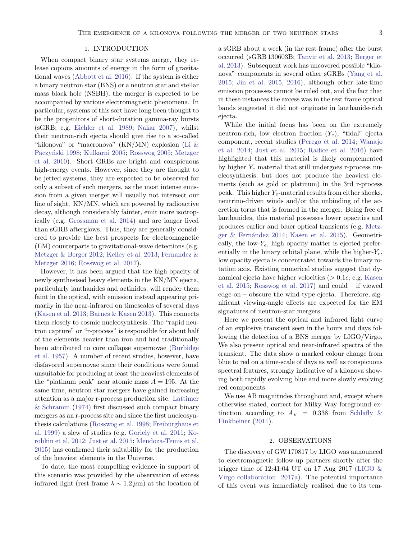### 1. INTRODUCTION

When compact binary star systems merge, they release copious amounts of energy in the form of gravitational waves [\(Abbott et al.](#page-10-0) [2016\)](#page-10-0). If the system is either a binary neutron star (BNS) or a neutron star and stellar mass black hole (NSBH), the merger is expected to be accompanied by various electromagnetic phenomena. In particular, systems of this sort have long been thought to be the progenitors of short-duration gamma-ray bursts (sGRB; e.g. [Eichler et al.](#page-11-0) [1989;](#page-11-0) [Nakar](#page-11-1) [2007\)](#page-11-1), whilst their neutron-rich ejecta should give rise to a so-called "kilonova" or "macronova" (KN/MN) explosion [\(Li &](#page-11-2) Paczyński [1998;](#page-11-2) [Kulkarni](#page-11-3) [2005;](#page-11-4) [Rosswog](#page-11-4) 2005; [Metzger](#page-11-5) [et al.](#page-11-5) [2010\)](#page-11-5). Short GRBs are bright and conspicuous high-energy events. However, since they are thought to be jetted systems, they are expected to be observed for only a subset of such mergers, as the most intense emission from a given merger will usually not intersect our line of sight. KN/MN, which are powered by radioactive decay, although considerably fainter, emit more isotropically (e.g. [Grossman et al.](#page-11-6) [2014\)](#page-11-6) and are longer lived than sGRB afterglows. Thus, they are generally considered to provide the best prospects for electromagnetic (EM) counterparts to gravitational-wave detections (e.g. [Metzger & Berger](#page-11-7) [2012;](#page-11-7) [Kelley et al.](#page-11-8) [2013;](#page-11-8) [Fernandez &](#page-11-9) [Metzger](#page-11-9) [2016;](#page-11-9) [Rosswog et al.](#page-11-10) [2017\)](#page-11-10).

However, it has been argued that the high opacity of newly synthesised heavy elements in the KN/MN ejecta, particularly lanthanides and actinides, will render them faint in the optical, with emission instead appearing primarily in the near-infrared on timescales of several days [\(Kasen et al.](#page-11-11) [2013;](#page-11-11) [Barnes & Kasen](#page-11-12) [2013\)](#page-11-12). This connects them closely to cosmic nucleosynthesis. The "rapid neutron capture" or "r-process" is responsible for about half of the elements heavier than iron and had traditionally been attributed to core collapse supernovae [\(Burbidge](#page-11-13) [et al.](#page-11-13) [1957\)](#page-11-13). A number of recent studies, however, have disfavored supernovae since their conditions were found unsuitable for producing at least the heaviest elements of the "platinum peak" near atomic mass  $A = 195$ . At the same time, neutron star mergers have gained increasing attention as a major r-process production site. [Lattimer](#page-11-14) [& Schramm](#page-11-14) [\(1974\)](#page-11-14) first discussed such compact binary mergers as an r-process site and since the first nucleosynthesis calculations [\(Rosswog et al.](#page-11-15) [1998;](#page-11-15) [Freiburghaus et](#page-11-16) [al.](#page-11-16) [1999\)](#page-11-16) a slew of studies (e.g. [Goriely et al.](#page-11-17) [2011;](#page-11-17) [Ko](#page-11-18)[robkin et al.](#page-11-18) [2012;](#page-11-18) [Just et al.](#page-11-19) [2015;](#page-11-19) [Mendoza-Temis et al.](#page-11-20) [2015\)](#page-11-20) has confirmed their suitability for the production of the heaviest elements in the Universe.

To date, the most compelling evidence in support of this scenario was provided by the observation of excess infrared light (rest frame  $\lambda \sim 1.2 \,\mu\text{m}$ ) at the location of a sGRB about a week (in the rest frame) after the burst occurred (sGRB 130603B; [Tanvir et al.](#page-12-0) [2013;](#page-12-0) [Berger et](#page-11-21) [al.](#page-11-21) [2013\)](#page-11-21). Subsequent work has uncovered possible "kilonova" components in several other sGRBs [\(Yang et al.](#page-12-1) [2015;](#page-12-1) [Jin et al.](#page-11-22) [2015,](#page-11-22) [2016\)](#page-11-23), although other late-time emission processes cannot be ruled out, and the fact that in these instances the excess was in the rest frame optical bands suggested it did not originate in lanthanide-rich ejecta.

While the initial focus has been on the extremely neutron-rich, low electron fraction  $(Y_e)$ , "tidal" ejecta component, recent studies [\(Perego et al.](#page-11-24) [2014;](#page-11-24) [Wanajo](#page-12-2) [et al.](#page-12-2) [2014;](#page-12-2) [Just et al.](#page-11-19) [2015;](#page-11-19) [Radice et al.](#page-11-25) [2016\)](#page-11-25) have highlighted that this material is likely complemented by higher  $Y_e$  material that still undergoes r-process nucleosynthesis, but does not produce the heaviest elements (such as gold or platinum) in the 3rd r-process peak. This higher  $Y_e$ -material results from either shocks, neutrino-driven winds and/or the unbinding of the accretion torus that is formed in the merger. Being free of lanthanides, this material possesses lower opacities and produces earlier and bluer optical transients (e.g. [Metz-](#page-11-26)ger & Fernández [2014;](#page-11-26) [Kasen et al.](#page-11-27) [2015\)](#page-11-27). Geometrically, the low- $Y_e$ , high opacity matter is ejected preferentially in the binary orbital plane, while the higher- $Y_e$ , low opacity ejecta is concentrated towards the binary rotation axis. Existing numerical studies suggest that dynamical ejecta have higher velocities  $(> 0.1c; e.g.$  [Kasen](#page-11-27) [et al.](#page-11-27) [2015;](#page-11-27) [Rosswog et al.](#page-11-10) [2017\)](#page-11-10) and could – if viewed edge-on – obscure the wind-type ejecta. Therefore, significant viewing-angle effects are expected for the EM signatures of neutron-star mergers.

Here we present the optical and infrared light curve of an explosive transient seen in the hours and days following the detection of a BNS merger by LIGO/Virgo. We also present optical and near-infrared spectra of the transient. The data show a marked colour change from blue to red on a time-scale of days as well as conspicuous spectral features, strongly indicative of a kilonova showing both rapidly evolving blue and more slowly evolving red components.

We use AB magnitudes throughout and, except where otherwise stated, correct for Milky Way foreground extinction according to  $A_V = 0.338$  from [Schlafly &](#page-11-28) [Finkbeiner](#page-11-28) [\(2011\)](#page-11-28).

## 2. OBSERVATIONS

The discovery of GW 170817 by LIGO was announced to electromagnetic follow-up partners shortly after the trigger time of  $12:41:04$  UT on 17 Aug 2017 (LIGO  $\&$ [Virgo collaboration](#page-11-29) [2017a\)](#page-11-29). The potential importance of this event was immediately realised due to its tem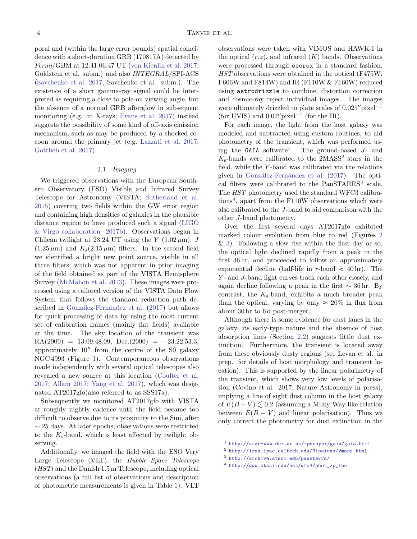poral and (within the large error bounds) spatial coincidence with a short-duration GRB (170817A) detected by Fermi/GBM at 12:41:06.47 UT [\(von Kienlin et al.](#page-12-3) [2017,](#page-12-3) Goldstein et al. subm.) and also INTEGRAL/SPI-ACS [\(Savchenko et al.](#page-11-30) [2017,](#page-11-30) Savchenko et al. subm.). The existence of a short gamma-ray signal could be interpreted as requiring a close to pole-on viewing angle, but the absence of a normal GRB afterglow in subsequent monitoring (e.g. in X-rays; [Evans et al.](#page-11-31) [2017\)](#page-11-31) instead suggests the possibility of some kind of off-axis emission mechanism, such as may be produced by a shocked cocoon around the primary jet (e.g. [Lazzati et al.](#page-11-32) [2017;](#page-11-32) [Gottlieb et al.](#page-11-33) [2017\)](#page-11-33).

## 2.1. Imaging

We triggered observations with the European Southern Observatory (ESO) Visible and Infrared Survey Telescope for Astronomy (VISTA; [Sutherland et al.](#page-12-4) [2015\)](#page-12-4) covering two fields within the GW error region and containing high densities of galaxies in the plausible distance regime to have produced such a signal [\(LIGO](#page-11-34) [& Virgo collaboration](#page-11-34) [2017b\)](#page-11-34). Observations began in Chilean twilight at 23:24 UT using the Y  $(1.02 \,\mu\text{m})$ , J  $(1.25 \,\mu\text{m})$  and  $K_s(2.15 \,\mu\text{m})$  filters. In the second field we identified a bright new point source, visible in all three filters, which was not apparent in prior imaging of the field obtained as part of the VISTA Hemisphere Survey [\(McMahon et al.](#page-11-35) [2013\)](#page-11-35). These images were processed using a tailored version of the VISTA Data Flow System that follows the standard reduction path de-scribed in González-Fernández et al. [\(2017\)](#page-11-36) but allows for quick processing of data by using the most current set of calibration frames (mainly flat fields) available at the time. The sky location of the transient was  $RA(2000) = 13:09:48.09, \text{ Dec.}(2000) = -23:22:53.3,$ approximately  $10^{\prime\prime}$  from the centre of the S0 galaxy NGC 4993 (Figure [1\)](#page-4-0). Contemporaneous observations made independently with several optical telescopes also revealed a new source at this location [\(Coulter et al.](#page-11-37) [2017;](#page-11-37) [Allam](#page-10-1) [2017;](#page-10-1) [Yang et al.](#page-12-5) [2017\)](#page-12-5), which was designated AT2017gfo(also referred to as SSS17a).

Subsequently we monitored AT2017gfo with VISTA at roughly nightly cadence until the field became too difficult to observe due to its proximity to the Sun, after ∼ 25 days. At later epochs, observations were restricted to the  $K_s$ -band, which is least affected by twilight observing.

Additionally, we imaged the field with the ESO Very Large Telescope (VLT), the Hubble Space Telescope (HST) and the Danish 1.5 m Telescope, including optical observations (a full list of observations and description of photometric measurements is given in Table [1\)](#page-4-1). VLT

observations were taken with VIMOS and HAWK-I in the optical  $(r,z)$ , and infrared  $(K)$  bands. Observations were processed through esorex in a standard fashion. HST observations were obtained in the optical (F475W, F606W and F814W) and IR (F110W & F160W) reduced using astrodrizzle to combine, distortion correction and cosmic-ray reject individual images. The images were ultimately drizzled to plate scales of  $0.025''$ pixel<sup>-1</sup> (for UVIS) and  $0.07''$  pixel<sup>-1</sup> (for the IR).

For each image, the light from the host galaxy was modeled and subtracted using custom routines, to aid photometry of the transient, which was performed us-ing the GAIA software<sup>[1](#page-3-0)</sup>. The ground-based J- and  $K_s$ -bands were calibrated to the  $2MASS^2$  $2MASS^2$  stars in the field, while the Y -band was calibrated via the relations given in González-Fernández et al. [\(2017\)](#page-11-36). The opti-cal filters were calibrated to the PanSTARRS<sup>[3](#page-3-2)</sup> scale. The  $HST$  photometry used the standard WFC3 calibrations[4](#page-3-3) , apart from the F110W observations which were also calibrated to the J-band to aid comparison with the other J-band photometry.

Over the first several days AT2017gfo exhibited marked colour evolution from blue to red (Figures [2](#page-6-0) & [3\)](#page-7-0). Following a slow rise within the first day or so, the optical light declined rapidly from a peak in the first 36 hr, and proceeded to follow an approximately exponential decline (half-life in r-band  $\approx$  40 hr). The Y- and J-band light curves track each other closely, and again decline following a peak in the first ∼ 36 hr. By contrast, the  $K_s$ -band, exhibits a much broader peak than the optical, varying by only  $\approx 20\%$  in flux from about 30 hr to 6 d post-merger.

Although there is some evidence for dust lanes in the galaxy, its early-type nature and the absence of host absorption lines (Section [2.2\)](#page-5-0) suggests little dust extinction. Furthermore, the transient is located away from these obviously dusty regions (see Levan et al. in prep. for details of host morphology and transient location). This is supported by the linear polarimetry of the transient, which shows very low levels of polarisation (Covino et al. 2017, Nature Astronomy in press), implying a line of sight dust column in the host galaxy of  $E(B-V) \leq 0.2$  (assuming a Milky Way like relation between  $E(B - V)$  and linear polarisation). Thus we only correct the photometry for dust extinction in the

<span id="page-3-0"></span><sup>1</sup> <http://star-www.dur.ac.uk/~pdraper/gaia/gaia.html>

<span id="page-3-1"></span><sup>2</sup> <http://irsa.ipac.caltech.edu/Missions/2mass.html>

<span id="page-3-2"></span><sup>3</sup> <http://archive.stsci.edu/panstarrs/>

<span id="page-3-3"></span><sup>4</sup> [http://www.stsci.edu/hst/wfc3/phot\\_zp\\_lbn](http://www.stsci.edu/hst/wfc3/phot_zp_lbn)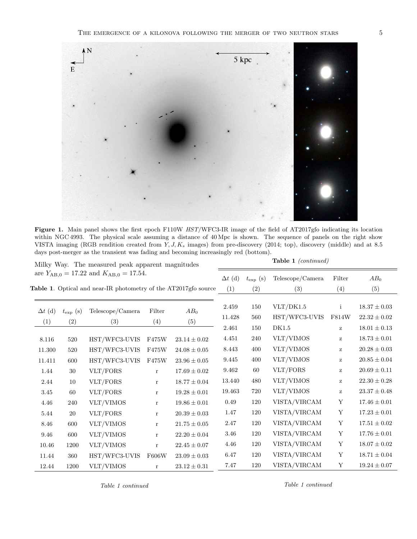

<span id="page-4-0"></span>Figure 1. Main panel shows the first epoch F110W HST/WFC3-IR image of the field of AT2017gfo indicating its location within NGC 4993. The physical scale assuming a distance of 40 Mpc is shown. The sequence of panels on the right show VISTA imaging (RGB rendition created from Y, J, K<sup>s</sup> images) from pre-discovery (2014; top), discovery (middle) and at 8.5 days post-merger as the transient was fading and becoming increasingly red (bottom).

<span id="page-4-1"></span>

| Milky Way. The measured peak apparent magnitudes                                                                   |                       |                           |                    | <b>Table 1</b> (continued)           |                          |                       |                                     |                                                                                |                                                        |
|--------------------------------------------------------------------------------------------------------------------|-----------------------|---------------------------|--------------------|--------------------------------------|--------------------------|-----------------------|-------------------------------------|--------------------------------------------------------------------------------|--------------------------------------------------------|
| are $Y_{AB,0} = 17.22$ and $K_{AB,0} = 17.54$ .<br>Table 1. Optical and near-IR photometry of the AT2017gfo source |                       |                           |                    |                                      | $\Delta t$ (d)<br>(1)    | $t_{\exp}$ (s)<br>(2) | Telescope/Camera<br>(3)             | Filter<br>(4)                                                                  | $AB_0$<br>(5)                                          |
| $\Delta t$ (d)<br>(1)                                                                                              | $t_{\exp}$ (s)<br>(2) | Telescope/Camera<br>(3)   | Filter<br>(4)      | $AB_0$<br>(5)                        | 2.459<br>11.428<br>2.461 | 150<br>560<br>150     | VLT/DK1.5<br>HST/WFC3-UVIS<br>DK1.5 | $\mathbf{i}$<br>F814W<br>$\mathbf{Z}% ^{T}=\mathbf{Z}^{T}\times\mathbf{Z}^{T}$ | $18.37 \pm 0.03$<br>$22.32\pm0.02$<br>$18.01 \pm 0.13$ |
| 8.116                                                                                                              | 520                   | HST/WFC3-UVIS             | F475W              | $23.14 \pm 0.02$                     | 4.451                    | 240                   | VLT/VIMOS                           | $\bf{Z}$                                                                       | $18.73 \pm 0.01$                                       |
| 11.300                                                                                                             | 520                   | HST/WFC3-UVIS             | F475W              | $24.08 \pm 0.05$                     | $8.443\,$<br>9.445       | 400<br>400            | VLT/VIMOS<br>VLT/VIMOS              | $\mathbf{Z}% ^{T}=\mathbf{Z}^{T}\times\mathbf{Z}^{T}$<br>$\mathbf{z}$          | $20.28 \pm 0.03$<br>$20.85 \pm 0.04$                   |
| 11.411<br>1.44                                                                                                     | 600<br>30             | HST/WFC3-UVIS<br>VLT/FORS | F475W<br>$\bf r$   | $23.96 \pm 0.05$<br>$17.69 \pm 0.02$ | 9.462                    | 60                    | VLT/FORS                            | $\mathbf{z}$                                                                   | $20.69 \pm 0.11$                                       |
| 2.44                                                                                                               | 10                    | VLT/FORS                  | $\bf r$            | $18.77 \pm 0.04$                     | 13.440                   | 480                   | VLT/VIMOS                           | $\mathbf{Z}% ^{T}=\mathbf{Z}^{T}\times\mathbf{Z}^{T}$                          | $22.30 \pm 0.28$                                       |
| 3.45<br>4.46                                                                                                       | 60<br>240             | VLT/FORS<br>VLT/VIMOS     | $\bf r$<br>$\bf r$ | $19.28 \pm 0.01$<br>$19.86 \pm 0.01$ | 19.463<br>$0.49\,$       | 720<br>120            | VLT/VIMOS<br>VISTA/VIRCAM           | $\mathbf{Z}% ^{T}=\mathbf{Z}^{T}\times\mathbf{Z}^{T}$<br>Y                     | $23.37 \pm 0.48$<br>$17.46 \pm 0.01$                   |
| 5.44                                                                                                               | 20                    | VLT/FORS                  | $\mathbf{r}$       | $20.39 \pm 0.03$                     | 1.47                     | 120                   | VISTA/VIRCAM                        | Y                                                                              | $17.23 \pm 0.01$                                       |
| 8.46                                                                                                               | 600                   | VLT/VIMOS                 | $\bf r$            | $21.75 \pm 0.05$                     | 2.47<br>$3.46\,$         | 120<br>120            | VISTA/VIRCAM<br>VISTA/VIRCAM        | $\mathbf Y$<br>Y                                                               | $17.51 \pm 0.02$<br>$17.76 \pm 0.01$                   |
| 9.46<br>10.46                                                                                                      | 600<br>1200           | VLT/VIMOS<br>VLT/VIMOS    | $\bf r$<br>$\bf r$ | $22.20 \pm 0.04$<br>$22.45 \pm 0.07$ | 4.46                     | 120                   | VISTA/VIRCAM                        | Y                                                                              | $18.07 \pm 0.02$                                       |
| 11.44                                                                                                              | 360                   | HST/WFC3-UVIS             | F606W              | $23.09 \pm 0.03$                     | 6.47                     | 120                   | VISTA/VIRCAM                        | $\mathbf Y$                                                                    | $18.71 \pm 0.04$                                       |
| 12.44                                                                                                              | 1200                  | VLT/VIMOS                 | $\bf r$            | $23.12\pm0.31$                       | 7.47                     | 120                   | VISTA/VIRCAM                        | Y                                                                              | $19.24 \pm 0.07$                                       |

Table 1 continued

Table 1 continued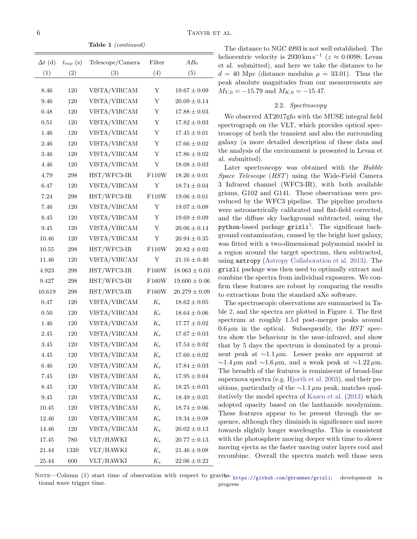Table 1 (continued)

| $\Delta t$ (d) | $t_{\rm exp}$ (s) | Telescope/Camera             | Filter      | $AB_0$            |
|----------------|-------------------|------------------------------|-------------|-------------------|
| (1)            | (2)               | (3)                          | (4)         | (5)               |
| 8.46           | 120               |                              | Υ           | $19.67 \pm 0.09$  |
| 9.46           | 120               | VISTA/VIRCAM<br>VISTA/VIRCAM | Υ           | $20.09 \pm 0.14$  |
| 0.48           | 120               | VISTA/VIRCAM                 | Y           | $17.88 \pm 0.03$  |
| 0.51           | 120               | VISTA/VIRCAM                 | Y           | $17.82 \pm 0.03$  |
| 1.46           | 120               | VISTA/VIRCAM                 | Y           | $17.45 \pm 0.01$  |
| 2.46           | 120               | VISTA/VIRCAM                 | Y           | $17.66 \pm 0.02$  |
| 3.46           | 120               | VISTA/VIRCAM                 | Y           | $17.86 \pm 0.02$  |
| 4.46           | 120               | VISTA/VIRCAM                 | $\mathbf Y$ | $18.08 \pm 0.03$  |
| 4.79           | 298               | HST/WFC3-IR                  | F110W       | $18.26 \pm 0.01$  |
| 6.47           | 120               | VISTA/VIRCAM                 | Y           | $18.74 \pm 0.04$  |
| 7.24           | 298               | HST/WFC3-IR                  | F110W       | $19.06 \pm 0.01$  |
| 7.46           | 120               | VISTA/VIRCAM                 | Υ           | $19.07 \pm 0.08$  |
| 8.45           | 120               | VISTA/VIRCAM                 | Υ           | $19.69 \pm 0.09$  |
| 9.45           | 120               | VISTA/VIRCAM                 | Y           | $20.06 \pm 0.14$  |
| 10.46          | 120               | VISTA/VIRCAM                 | Y           | $20.94 \pm 0.35$  |
| 10.55          | 298               | HST/WFC3-IR                  | F110W       | $20.82 \pm 0.02$  |
| 11.46          | 120               | VISTA/VIRCAM                 | Υ           | $21.16 \pm 0.40$  |
| 4.923          | 298               | HST/WFC3-IR                  | F160W       | $18.063 \pm 0.03$ |
| 9.427          | 298               | HST/WFC3-IR                  | F160W       | $19.600 \pm 0.06$ |
| 10.619         | 298               | HST/WFC3-IR                  | F160W       | $20.279\pm0.09$   |
| 0.47           | 120               | VISTA/VIRCAM                 | $K_{\rm s}$ | $18.62 \pm 0.05$  |
| 0.50           | 120               | VISTA/VIRCAM                 | $K_{\rm s}$ | $18.64 \pm 0.06$  |
| 1.46           | 120               | VISTA/VIRCAM                 | $K_{\rm s}$ | $17.77 \pm 0.02$  |
| 2.45           | 120               | VISTA/VIRCAM                 | $K_{\rm s}$ | $17.67 \pm 0.03$  |
| 3.45           | 120               | VISTA/VIRCAM                 | $K_{\rm s}$ | $17.54 \pm 0.02$  |
| 4.45           | 120               | VISTA/VIRCAM                 | $K_{\rm s}$ | $17.60 \pm 0.02$  |
| 6.46           | 120               | VISTA/VIRCAM                 | $K_{\rm s}$ | $17.84 \pm 0.03$  |
| $7.45\,$       | 120               | VISTA/VIRCAM                 | $K_{\rm s}$ | $17.95 \pm 0.04$  |
| 8.45           | 120               | VISTA/VIRCAM                 | $K_{\rm s}$ | $18.25 \pm 0.03$  |
| 9.45           | 120               | VISTA/VIRCAM                 | $K_{\rm s}$ | $18.49 \pm 0.05$  |
| 10.45          | 120               | VISTA/VIRCAM                 | $K_{\rm s}$ | $18.74 \pm 0.06$  |
| 12.46          | 120               | VISTA/VIRCAM                 | $K_{\rm s}$ | $19.34 \pm 0.08$  |
| 14.46          | 120               | VISTA/VIRCAM                 | $K_{\rm s}$ | $20.02 \pm 0.13$  |
| 17.45          | 780               | VLT/HAWKI                    | $K_{\rm s}$ | $20.77 \pm 0.13$  |
| 21.44          | 1320              | VLT/HAWKI                    | $K_{\rm s}$ | $21.46 \pm 0.08$  |
| 25.44          | 600               | VLT/HAWKI                    | $K_{\rm s}$ | $22.06 \pm 0.22$  |

The distance to NGC 4993 is not well established. The heliocentric velocity is 2930 km s<sup>-1</sup> ( $z \approx 0.0098$ ; Levan et al. submitted), and here we take the distance to be  $d = 40$  Mpc (distance modulus  $\mu = 33.01$ ). Thus the peak absolute magnitudes from our measurements are  $M_{Y,0} = -15.79$  and  $M_{K,0} = -15.47$ .

# 2.2. Spectroscopy

<span id="page-5-0"></span>We observed AT2017gfo with the MUSE integral field spectrograph on the VLT, which provides optical spectroscopy of both the transient and also the surrounding galaxy (a more detailed description of these data and the analysis of the environment is presented in Levan et al. submitted).

Later spectroscopy was obtained with the Hubble Space Telescope (HST) using the Wide-Field Camera 3 Infrared channel (WFC3-IR), with both available grisms, G102 and G141. These observations were prereduced by the WFC3 pipeline. The pipeline products were astrometrically calibrated and flat-field corrected, and the diffuse sky background subtracted, using the python-based package grizli<sup>[5](#page-5-1)</sup>. The significant background contamination, caused by the bright host galaxy, was fitted with a two-dimensional polynomial model in a region around the target spectrum, then subtracted, using astropy [\(Astropy Collaboration et al.](#page-11-38) [2013\)](#page-11-38). The grizli package was then used to optimally extract and combine the spectra from individual exposures. We confirm these features are robust by comparing the results to extractions from the standard aXe software.

<span id="page-5-1"></span>The spectroscopic observations are summarised in Table [2,](#page-6-1) and the spectra are plotted in Figure [4.](#page-7-1) The first spectrum at roughly 1.5 d post-merger peaks around  $0.6 \,\mu\text{m}$  in the optical. Subsequently, the HST spectra show the behaviour in the near-infrared, and show that by 5 days the spectrum is dominated by a prominent peak at ∼1.1 µm. Lesser peaks are apparent at  $\sim$ 1.4 µm and  $\sim$ 1.6 µm, and a weak peak at  $\sim$ 1.22 µm. The breadth of the features is reminiscent of broad-line supernova spectra (e.g. [Hjorth et al.](#page-11-39) [2003\)](#page-11-39), and their positions, particularly of the  $\sim$ 1.1 µm peak, matches qualitatively the model spectra of [Kasen et al.](#page-11-11) [\(2013\)](#page-11-11) which adopted opacity based on the lanthanide neodymium. These features appear to be present through the sequence, although they diminish in significance and move towards slightly longer wavelengths. This is consistent with the photosphere moving deeper with time to slower moving ejecta as the faster moving outer layers cool and recombine. Overall the spectra match well those seen

NOTE—Column (1) start time of observation with respect to gravita-<https://github.com/gbrammer/grizli>; development in tional wave trigger time. progress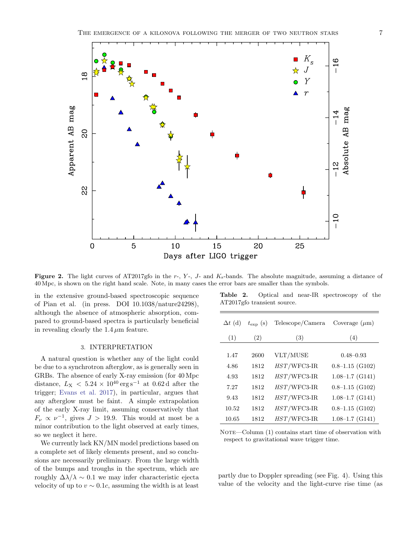

<span id="page-6-0"></span>Figure 2. The light curves of AT2017gfo in the  $r<sub>-</sub>$ ,  $Y<sub>-</sub>$ , J- and  $K_s$ -bands. The absolute magnitude, assuming a distance of 40 Mpc, is shown on the right hand scale. Note, in many cases the error bars are smaller than the symbols.

in the extensive ground-based spectroscopic sequence of Pian et al. (in press. DOI 10.1038/nature24298), although the absence of atmospheric absorption, compared to ground-based spectra is particularly beneficial in revealing clearly the  $1.4 \mu m$  feature.

## 3. INTERPRETATION

A natural question is whether any of the light could be due to a synchrotron afterglow, as is generally seen in GRBs. The absence of early X-ray emission (for 40 Mpc distance,  $L_X < 5.24 \times 10^{40} \,\text{erg}\,\text{s}^{-1}$  at 0.62 d after the trigger; [Evans et al.](#page-11-31) [2017\)](#page-11-31), in particular, argues that any afterglow must be faint. A simple extrapolation of the early X-ray limit, assuming conservatively that  $F_{\nu} \propto \nu^{-1}$ , gives  $J > 19.9$ . This would at most be a minor contribution to the light observed at early times, so we neglect it here.

We currently lack KN/MN model predictions based on a complete set of likely elements present, and so conclusions are necessarily preliminary. From the large width of the bumps and troughs in the spectrum, which are roughly  $\Delta\lambda/\lambda \sim 0.1$  we may infer characteristic ejecta velocity of up to  $v \sim 0.1c$ , assuming the width is at least

<span id="page-6-1"></span>

| ${\rm Table}$ 2. |                             |  | Optical and near-IR spectroscopy of the |  |
|------------------|-----------------------------|--|-----------------------------------------|--|
|                  | AT2017gfo transient source. |  |                                         |  |

| $\Delta t$ (d) | $t_{\rm exp}$ (s) | Telescope/Camera | Coverage $(\mu m)$  |
|----------------|-------------------|------------------|---------------------|
| (1)            | (2)               | (3)              | (4)                 |
|                |                   |                  |                     |
| 1.47           | 2600              | VLT/MUSE         | $0.48 - 0.93$       |
| 4.86           | 1812              | $HST/WFC3-IR$    | $0.8-1.15$ (G102)   |
| 4.93           | 1812              | $HST/WFC3-IR$    | $1.08 - 1.7$ (G141) |
| 7.27           | 1812              | $HST/WFC3-IR$    | $0.8 - 1.15$ (G102) |
| 9.43           | 1812              | $HST/WFC3-IR$    | $1.08 - 1.7$ (G141) |
| 10.52          | 1812              | $HST/WFC3-IR$    | $0.8 - 1.15$ (G102) |
| 10.65          | 1812              | $HST/WFC3-IR$    | $1.08 - 1.7$ (G141) |

NOTE—Column (1) contains start time of observation with respect to gravitational wave trigger time.

partly due to Doppler spreading (see Fig. 4). Using this value of the velocity and the light-curve rise time (as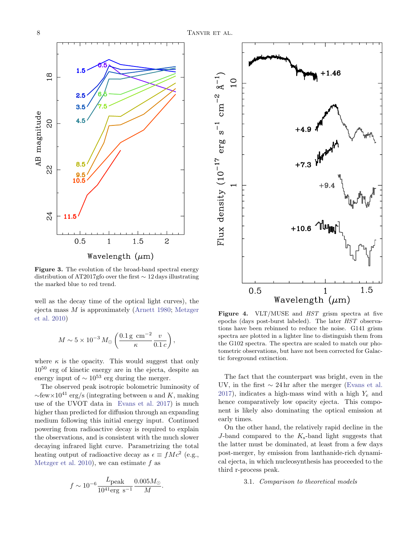

<span id="page-7-0"></span>Figure 3. The evolution of the broad-band spectral energy distribution of AT2017gfo over the first ∼ 12 days illustrating the marked blue to red trend.

well as the decay time of the optical light curves), the ejecta mass  $M$  is approximately [\(Arnett](#page-11-40) [1980;](#page-11-40) [Metzger](#page-11-5) [et al.](#page-11-5) [2010\)](#page-11-5)

$$
M \sim 5 \times 10^{-3} M_{\odot} \left( \frac{0.1 \,\mathrm{g} \,\mathrm{cm}^{-2}}{\kappa} \frac{v}{0.1 \, c} \right),\,
$$

where  $\kappa$  is the opacity. This would suggest that only  $10^{50}$  erg of kinetic energy are in the ejecta, despite an energy input of  $\sim 10^{53}$  erg during the merger.

The observed peak isotropic bolometric luminosity of  $\sim$ few×10<sup>41</sup> erg/s (integrating between u and K, making use of the UVOT data in [Evans et al.](#page-11-31) [2017\)](#page-11-31) is much higher than predicted for diffusion through an expanding medium following this initial energy input. Continued powering from radioactive decay is required to explain the observations, and is consistent with the much slower decaying infrared light curve. Parametrizing the total heating output of radioactive decay as  $\epsilon \equiv f M c^2$  (e.g., [Metzger et al.](#page-11-5) [2010\)](#page-11-5), we can estimate  $f$  as

$$
f \sim 10^{-6} \frac{L_{\text{peak}}}{10^{41} \text{erg s}^{-1}} \frac{0.005 M_{\odot}}{M}.
$$



<span id="page-7-1"></span>Figure 4. VLT/MUSE and  $HST$  grism spectra at five epochs (days post-burst labeled). The later HST observations have been rebinned to reduce the noise. G141 grism spectra are plotted in a lighter line to distinguish them from the G102 spectra. The spectra are scaled to match our photometric observations, but have not been corrected for Galactic foreground extinction.

The fact that the counterpart was bright, even in the UV, in the first  $\sim 24$  hr after the merger [\(Evans et al.](#page-11-31) [2017\)](#page-11-31), indicates a high-mass wind with a high  $Y_e$  and hence comparatively low opacity ejecta. This component is likely also dominating the optical emission at early times.

On the other hand, the relatively rapid decline in the J-band compared to the  $K_s$ -band light suggests that the latter must be dominated, at least from a few days post-merger, by emission from lanthanide-rich dynamical ejecta, in which nucleosynthesis has proceeded to the third r-process peak.

3.1. Comparison to theoretical models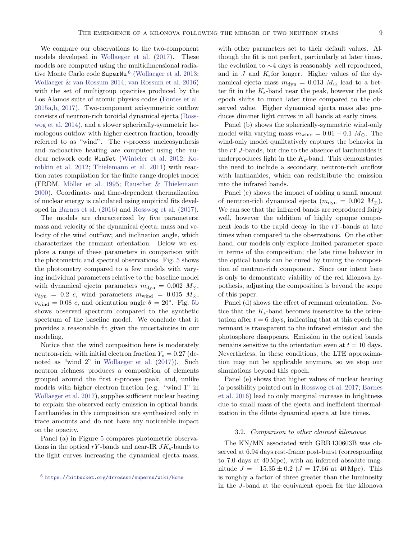We compare our observations to the two-component models developed in [Wollaeger et al.](#page-12-6) [\(2017\)](#page-12-6). These models are computed using the multidimensional radia-tive Monte Carlo code SuperNu<sup>[6](#page-8-0)</sup> [\(Wollaeger et al.](#page-12-7) [2013;](#page-12-7) [Wollaeger & van Rossum](#page-12-8) [2014;](#page-12-8) [van Rossum et al.](#page-12-9) [2016\)](#page-12-9) with the set of multigroup opacities produced by the Los Alamos suite of atomic physics codes [\(Fontes et al.](#page-11-41) [2015a](#page-11-41)[,b,](#page-11-42) [2017\)](#page-11-43). Two-component axisymmetric outflow consists of neutron-rich toroidal dynamical ejecta [\(Ross](#page-11-44)[wog et al.](#page-11-44) [2014\)](#page-11-44), and a slower spherically-symmetric homologous outflow with higher electron fraction, broadly referred to as "wind". The r-process nucleosynthesis and radioactive heating are computed using the nuclear network code WinNet [\(Winteler et al.](#page-12-10) [2012;](#page-12-10) [Ko](#page-11-18)[robkin et al.](#page-11-18) [2012;](#page-11-18) [Thielemann et al.](#page-12-11) [2011\)](#page-12-11) with reaction rates compilation for the finite range droplet model (FRDM, Möller et al. [1995;](#page-11-45) Rauscher  $&$  Thielemann [2000\)](#page-11-46). Coordinate- and time-dependent thermalization of nuclear energy is calculated using empirical fits developed in [Barnes et al.](#page-11-47) [\(2016\)](#page-11-47) and [Rosswog et al.](#page-11-10) [\(2017\)](#page-11-10).

The models are characterized by five parameters: mass and velocity of the dynamical ejecta; mass and velocity of the wind outflow; and inclination angle, which characterizes the remnant orientation. Below we explore a range of these parameters in comparison with the photometric and spectral observations. Fig. [5](#page-9-0) shows the photometry compared to a few models with varying individual parameters relative to the baseline model with dynamical ejecta parameters  $m_{\text{dyn}} = 0.002$   $M_{\odot}$ ,  $v_{\rm dyn}$  = 0.2 c, wind parameters  $m_{\rm wind}$  = 0.015  $M_{\odot}$ ,  $v_{\text{wind}} = 0.08$  c, and orientation angle  $\theta = 20^{\circ}$ . Fig. [5b](#page-9-0) shows observed spectrum compared to the synthetic spectrum of the baseline model. We conclude that it provides a reasonable fit given the uncertainties in our modeling.

Notice that the wind composition here is moderately neutron-rich, with initial electron fraction  $Y_e = 0.27$  (denoted as "wind 2" in [Wollaeger et al.](#page-12-6) [\(2017\)](#page-12-6)). Such neutron richness produces a composition of elements grouped around the first r-process peak, and, unlike models with higher electron fraction (e.g. "wind 1" in [Wollaeger et al.](#page-12-6) [2017\)](#page-12-6), supplies sufficient nuclear heating to explain the observed early emission in optical bands. Lanthanides in this composition are synthesized only in trace amounts and do not have any noticeable impact on the opacity.

Panel (a) in Figure [5](#page-9-0) compares photometric observations in the optical rY-bands and near-IR  $JK_s$ -bands to the light curves increasing the dynamical ejecta mass, with other parameters set to their default values. Although the fit is not perfect, particularly at later times, the evolution to ∼4 days is reasonably well reproduced, and in  $J$  and  $K<sub>s</sub>$  for longer. Higher values of the dynamical ejecta mass  $m_{\text{dyn}} = 0.013 M_{\odot}$  lead to a better fit in the  $K_s$ -band near the peak, however the peak epoch shifts to much later time compared to the observed value. Higher dynamical ejecta mass also produces dimmer light curves in all bands at early times.

Panel (b) shows the spherically-symmetric wind-only model with varying mass  $m_{wind} = 0.01 - 0.1 M_{\odot}$ . The wind-only model qualitatively captures the behavior in the rY J-bands, but due to the absence of lanthanides it underproduces light in the  $K_s$ -band. This demonstrates the need to include a secondary, neutron-rich outflow with lanthanides, which can redistribute the emission into the infrared bands.

Panel (c) shows the impact of adding a small amount of neutron-rich dynamical ejecta  $(m_{\text{dyn}} = 0.002 M_{\odot})$ . We can see that the infrared bands are reproduced fairly well, however the addition of highly opaque component leads to the rapid decay in the  $rY$ -bands at late times when compared to the observations. On the other hand, our models only explore limited parameter space in terms of the composition; the late time behavior in the optical bands can be cured by tuning the composition of neutron-rich component. Since our intent here is only to demonstrate viability of the red kilonova hypothesis, adjusting the composition is beyond the scope of this paper.

Panel (d) shows the effect of remnant orientation. Notice that the  $K_s$ -band becomes insensitive to the orientation after  $t = 6$  days, indicating that at this epoch the remnant is transparent to the infrared emission and the photosphere disappears. Emission in the optical bands remains sensitive to the orientation even at  $t = 10$  days. Nevertheless, in these conditions, the LTE approximation may not be applicable anymore, so we stop our simulations beyond this epoch.

Panel (e) shows that higher values of nuclear heating (a possibility pointed out in [Rosswog et al.](#page-11-10) [2017;](#page-11-10) [Barnes](#page-11-47) [et al.](#page-11-47) [2016\)](#page-11-47) lead to only marginal increase in brightness due to small mass of the ejecta and inefficient thermalization in the dilute dynamical ejecta at late times.

#### 3.2. Comparison to other claimed kilonovae

The KN/MN associated with GRB 130603B was observed at 6.94 days rest-frame post-burst (corresponding to 7.0 days at 40 Mpc), with an inferred absolute magnitude  $J = -15.35 \pm 0.2$  ( $J = 17.66$  at 40 Mpc). This is roughly a factor of three greater than the luminosity in the J-band at the equivalent epoch for the kilonova

<span id="page-8-0"></span><sup>6</sup> <https://bitbucket.org/drrossum/supernu/wiki/Home>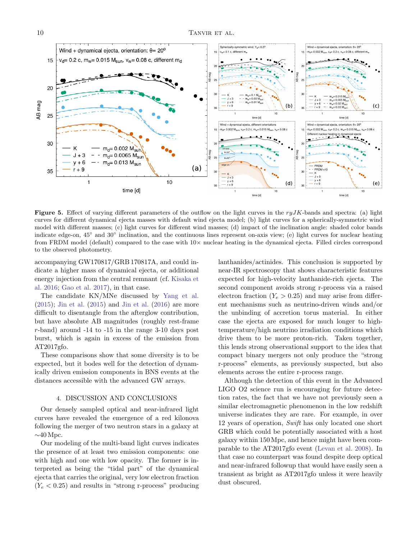

<span id="page-9-0"></span>Figure 5. Effect of varying different parameters of the outflow on the light curves in the  $ryJK$ -bands and spectra: (a) light curves for different dynamical ejecta masses with default wind ejecta model; (b) light curves for a spherically-symmetric wind model with different masses; (c) light curves for different wind masses; (d) impact of the inclination angle: shaded color bands indicate edge-on, 45° and 30° inclination, and the continuous lines represent on-axis view; (e) light curves for nuclear heating from FRDM model (default) compared to the case with  $10\times$  nuclear heating in the dynamical ejecta. Filled circles correspond to the observed photometry.

accompanying GW170817/GRB 170817A, and could indicate a higher mass of dynamical ejecta, or additional energy injection from the central remnant (cf. [Kisaka et](#page-11-48) [al.](#page-11-48) [2016;](#page-11-48) [Gao et al.](#page-11-49) [2017\)](#page-11-49), in that case.

The candidate KN/MNe discussed by [Yang et al.](#page-12-1) [\(2015\)](#page-12-1); [Jin et al.](#page-11-22) [\(2015\)](#page-11-22) and [Jin et al.](#page-11-23) [\(2016\)](#page-11-23) are more difficult to disentangle from the afterglow contribution, but have absolute AB magnitudes (roughly rest-frame r-band) around -14 to -15 in the range 3-10 days post burst, which is again in excess of the emission from AT2017gfo.

These comparisons show that some diversity is to be expected, but it bodes well for the detection of dynamically driven emission components in BNS events at the distances accessible with the advanced GW arrays.

#### 4. DISCUSSION AND CONCLUSIONS

Our densely sampled optical and near-infrared light curves have revealed the emergence of a red kilonova following the merger of two neutron stars in a galaxy at  $\sim40$  Mpc.

Our modeling of the multi-band light curves indicates the presence of at least two emission components: one with high and one with low opacity. The former is interpreted as being the "tidal part" of the dynamical ejecta that carries the original, very low electron fraction  $(Y_e < 0.25)$  and results in "strong r-process" producing lanthanides/actinides. This conclusion is supported by near-IR spectroscopy that shows characteristic features expected for high-velocity lanthanide-rich ejecta. The second component avoids strong r-process via a raised electron fraction  $(Y_e > 0.25)$  and may arise from different mechanisms such as neutrino-driven winds and/or the unbinding of accretion torus material. In either case the ejecta are exposed for much longer to hightemperature/high neutrino irradiation conditions which drive them to be more proton-rich. Taken together, this lends strong observational support to the idea that compact binary mergers not only produce the "strong r-process" elements, as previously suspected, but also elements across the entire r-process range.

Although the detection of this event in the Advanced LIGO O2 science run is encouraging for future detection rates, the fact that we have not previously seen a similar electromagnetic phenomenon in the low redshift universe indicates they are rare. For example, in over 12 years of operation, Swift has only located one short GRB which could be potentially associated with a host galaxy within 150 Mpc, and hence might have been comparable to the AT2017gfo event [\(Levan et al.](#page-11-50) [2008\)](#page-11-50). In that case no counterpart was found despite deep optical and near-infrared followup that would have easily seen a transient as bright as AT2017gfo unless it were heavily dust obscured.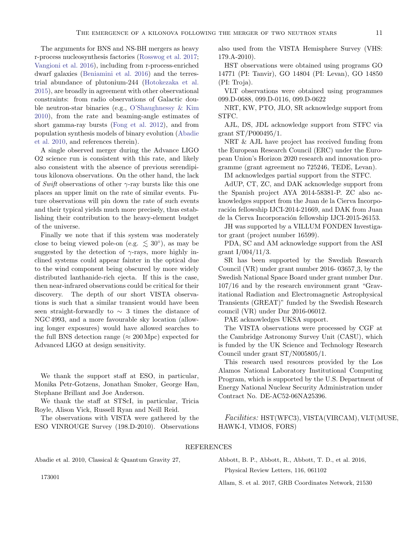The arguments for BNS and NS-BH mergers as heavy r-process nucleosynthesis factories [\(Rosswog et al.](#page-11-10) [2017;](#page-11-10) [Vangioni et al.](#page-12-12) [2016\)](#page-12-12), including from r-process-enriched dwarf galaxies [\(Beniamini et al.](#page-11-51) [2016\)](#page-11-51) and the terrestrial abundance of plutonium-244 [\(Hotokezaka et al.](#page-11-52) [2015\)](#page-11-52), are broadly in agreement with other observational constraints: from radio observations of Galactic double neutron-star binaries (e.g., [O'Shaughnessy & Kim](#page-11-53) [2010\)](#page-11-53), from the rate and beaming-angle estimates of short gamma-ray bursts [\(Fong et al.](#page-11-54) [2012\)](#page-11-54), and from population synthesis models of binary evolution [\(Abadie](#page-10-2) [et al.](#page-10-2) [2010,](#page-10-2) and references therein).

A single observed merger during the Advance LIGO O2 science run is consistent with this rate, and likely also consistent with the absence of previous serendipitous kilonova observations. On the other hand, the lack of Swift observations of other  $\gamma$ -ray bursts like this one places an upper limit on the rate of similar events. Future observations will pin down the rate of such events and their typical yields much more precisely, thus establishing their contribution to the heavy-element budget of the universe.

Finally we note that if this system was moderately close to being viewed pole-on (e.g.  $\lesssim 30^{\circ}$ ), as may be suggested by the detection of  $\gamma$ -rays, more highly inclined systems could appear fainter in the optical due to the wind component being obscured by more widely distributed lanthanide-rich ejecta. If this is the case, then near-infrared observations could be critical for their discovery. The depth of our short VISTA observations is such that a similar transient would have been seen straight-forwardly to  $\sim$  3 times the distance of NGC 4993, and a more favourable sky location (allowing longer exposures) would have allowed searches to the full BNS detection range ( $\approx 200$  Mpc) expected for Advanced LIGO at design sensitivity.

We thank the support staff at ESO, in particular, Monika Petr-Gotzens, Jonathan Smoker, George Hau, Stephane Brillant and Joe Anderson.

We thank the staff at STScI, in particular, Tricia Royle, Alison Vick, Russell Ryan and Neill Reid.

The observations with VISTA were gathered by the ESO VINROUGE Survey (198.D-2010). Observations also used from the VISTA Hemisphere Survey (VHS: 179.A-2010).

HST observations were obtained using programs GO 14771 (PI: Tanvir), GO 14804 (PI: Levan), GO 14850 (PI: Troja).

VLT observations were obtained using programmes 099.D-0688, 099.D-0116, 099.D-0622

NRT, KW, PTO, JLO, SR acknowledge support from STFC.

AJL, DS, JDL acknowledge support from STFC via grant ST/P000495/1.

NRT & AJL have project has received funding from the European Research Council (ERC) under the European Union's Horizon 2020 research and innovation programme (grant agreement no 725246, TEDE, Levan).

IM acknowledges partial support from the STFC.

AdUP, CT, ZC, and DAK acknowledge support from the Spanish project AYA 2014-58381-P. ZC also acknowledges support from the Juan de la Cierva Incorporación fellowship IJCI-2014-21669, and DAK from Juan de la Cierva Incorporación fellowship IJCI-2015-26153.

JH was supported by a VILLUM FONDEN Investigator grant (project number 16599).

PDA, SC and AM acknowledge support from the ASI grant  $I/004/11/3$ .

SR has been supported by the Swedish Research Council (VR) under grant number 2016- 03657 3, by the Swedish National Space Board under grant number Dnr. 107/16 and by the research environment grant "Gravitational Radiation and Electromagnetic Astrophysical Transients (GREAT)" funded by the Swedish Research council (VR) under Dnr 2016-06012.

PAE acknowledges UKSA support.

The VISTA observations were processed by CGF at the Cambridge Astronomy Survey Unit (CASU), which is funded by the UK Science and Technology Research Council under grant ST/N005805/1.

This research used resources provided by the Los Alamos National Laboratory Institutional Computing Program, which is supported by the U.S. Department of Energy National Nuclear Security Administration under Contract No. DE-AC52-06NA25396.

Facilities: HST(WFC3), VISTA(VIRCAM), VLT(MUSE, HAWK-I, VIMOS, FORS)

#### REFERENCES

<span id="page-10-2"></span>Abadie et al. 2010, Classical & Quantum Gravity 27,

<span id="page-10-0"></span>Abbott, B. P., Abbott, R., Abbott, T. D., et al. 2016, Physical Review Letters, 116, 061102

<span id="page-10-1"></span>Allam, S. et al. 2017, GRB Coordinates Network, 21530

173001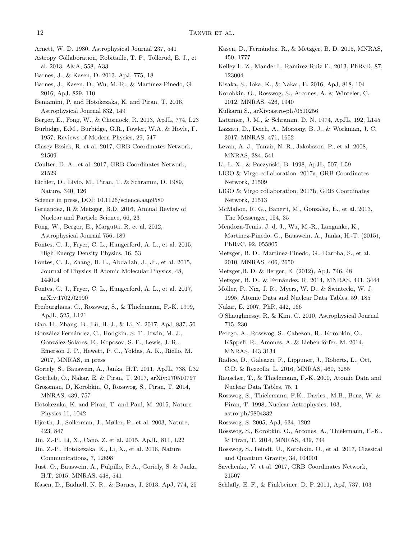- <span id="page-11-40"></span>Arnett, W. D. 1980, Astrophysical Journal 237, 541
- <span id="page-11-38"></span>Astropy Collaboration, Robitaille, T. P., Tollerud, E. J., et al. 2013, A&A, 558, A33
- <span id="page-11-12"></span>Barnes, J., & Kasen, D. 2013, ApJ, 775, 18
- <span id="page-11-47"></span>Barnes, J., Kasen, D., Wu, M.-R., & Martínez-Pinedo, G. 2016, ApJ, 829, 110
- <span id="page-11-51"></span>Beniamini, P. and Hotokezaka, K. and Piran, T. 2016, Astrophysical Journal 832, 149
- <span id="page-11-21"></span>Berger, E., Fong, W., & Chornock, R. 2013, ApJL, 774, L23
- <span id="page-11-13"></span>Burbidge, E.M., Burbidge, G.R., Fowler, W.A. & Hoyle, F. 1957, Reviews of Modern Physics, 29, 547
- <span id="page-11-29"></span>Clasey Essick, R. et al. 2017, GRB Coordinates Network, 21509
- <span id="page-11-37"></span>Coulter, D. A.. et al. 2017, GRB Coordinates Network, 21529
- <span id="page-11-0"></span>Eichler, D., Livio, M., Piran, T. & Schramm, D. 1989, Nature, 340, 126
- <span id="page-11-31"></span>Science in press, DOI: 10.1126/science.aap9580
- <span id="page-11-9"></span>Fernandez, R & Metzger, B.D. 2016, Annual Review of Nuclear and Particle Science, 66, 23
- <span id="page-11-54"></span>Fong, W., Berger, E., Margutti, R. et al. 2012, Astrophysical Journal 756, 189
- <span id="page-11-41"></span>Fontes, C. J., Fryer, C. L., Hungerford, A. L., et al. 2015, High Energy Density Physics, 16, 53
- <span id="page-11-42"></span>Fontes, C. J., Zhang, H. L., Abdallah, J., Jr., et al. 2015, Journal of Physics B Atomic Molecular Physics, 48, 144014
- <span id="page-11-43"></span>Fontes, C. J., Fryer, C. L., Hungerford, A. L., et al. 2017, arXiv:1702.02990
- <span id="page-11-16"></span>Freiburghaus, C., Rosswog, S., & Thielemann, F.-K. 1999, ApJL, 525, L121
- <span id="page-11-49"></span>Gao, H., Zhang, B., Lü, H.-J., & Li, Y. 2017, ApJ, 837, 50
- <span id="page-11-36"></span>González-Fernández, C., Hodgkin, S. T., Irwin, M. J., Gonz´alez-Solares, E., Koposov, S. E., Lewis, J. R., Emerson J. P., Hewett, P. C., Yoldas, A. K., Riello, M. 2017, MNRAS, in press
- <span id="page-11-17"></span>Goriely, S., Bauswein, A., Janka, H.T. 2011, ApJL, 738, L32
- <span id="page-11-33"></span>Gottlieb, O., Nakar, E. & Piran, T. 2017, arXiv:170510797
- <span id="page-11-6"></span>Grossman, D, Korobkin, O, Rosswog, S., Piran, T. 2014, MNRAS, 439, 757
- <span id="page-11-52"></span>Hotokezaka, K. and Piran, T. and Paul, M. 2015, Nature Physics 11, 1042
- <span id="page-11-39"></span>Hjorth, J., Sollerman, J., Møller, P., et al. 2003, Nature, 423, 847
- <span id="page-11-22"></span>Jin, Z.-P., Li, X., Cano, Z. et al. 2015, ApJL, 811, L22
- <span id="page-11-23"></span>Jin, Z.-P., Hotokezaka, K., Li, X., et al. 2016, Nature Communications, 7, 12898
- <span id="page-11-19"></span>Just, O., Bauswein, A., Pulpillo, R.A., Goriely, S. & Janka, H.T. 2015, MNRAS, 448, 541
- <span id="page-11-11"></span>Kasen, D., Badnell, N. R., & Barnes, J. 2013, ApJ, 774, 25
- <span id="page-11-27"></span>Kasen, D., Fernández, R., & Metzger, B. D. 2015, MNRAS, 450, 1777
- <span id="page-11-8"></span>Kelley L. Z., Mandel I., Ramirez-Ruiz E., 2013, PhRvD, 87, 123004
- <span id="page-11-48"></span>Kisaka, S., Ioka, K., & Nakar, E. 2016, ApJ, 818, 104
- <span id="page-11-18"></span>Korobkin, O., Rosswog, S., Arcones, A. & Winteler, C. 2012, MNRAS, 426, 1940
- <span id="page-11-14"></span><span id="page-11-3"></span>Kulkarni S., arXiv:astro-ph/0510256
- Lattimer, J. M., & Schramm, D. N. 1974, ApJL, 192, L145
- <span id="page-11-32"></span>Lazzati, D., Deich, A., Morsony, B. J., & Workman, J. C. 2017, MNRAS, 471, 1652
- <span id="page-11-50"></span>Levan, A. J., Tanvir, N. R., Jakobsson, P., et al. 2008, MNRAS, 384, 541
- <span id="page-11-2"></span>Li, L.-X., & Paczyński, B. 1998, ApJL, 507, L59
- LIGO & Virgo collaboration. 2017a, GRB Coordinates Network, 21509
- <span id="page-11-34"></span>LIGO & Virgo collaboration. 2017b, GRB Coordinates Network, 21513
- <span id="page-11-35"></span>McMahon, R. G., Banerji, M., Gonzalez, E., et al. 2013, The Messenger, 154, 35
- <span id="page-11-20"></span>Mendoza-Temis, J. d. J., Wu, M.-R., Langanke, K., Martinez-Pinedo, G., Bauswein, A., Janka, H.-T. (2015), PhRvC, 92, 055805
- <span id="page-11-5"></span>Metzger, B. D., Martínez-Pinedo, G., Darbha, S., et al. 2010, MNRAS, 406, 2650
- <span id="page-11-7"></span>Metzger,B. D. & Berger, E. (2012), ApJ, 746, 48
- <span id="page-11-26"></span>Metzger, B. D., & Fernández, R. 2014, MNRAS, 441, 3444
- <span id="page-11-45"></span>Möller, P., Nix, J. R., Myers, W. D., & Swiatecki, W. J.
- <span id="page-11-1"></span>1995, Atomic Data and Nuclear Data Tables, 59, 185 Nakar, E. 2007, PhR, 442, 166
- <span id="page-11-53"></span>O'Shaughnessy, R. & Kim, C. 2010, Astrophysical Journal 715, 230
- <span id="page-11-24"></span>Perego, A., Rosswog, S., Cabezon, R., Korobkin, O., Käppeli, R., Arcones, A. & Liebendörfer, M. 2014, MNRAS, 443 3134
- <span id="page-11-25"></span>Radice, D., Galeazzi, F., Lippuner, J., Roberts, L., Ott, C.D. & Rezzolla, L. 2016, MNRAS, 460, 3255
- <span id="page-11-46"></span>Rauscher, T., & Thielemann, F.-K. 2000, Atomic Data and Nuclear Data Tables, 75, 1
- <span id="page-11-15"></span>Rosswog, S., Thielemann, F.K., Davies., M.B., Benz, W. & Piran, T. 1998, Nuclear Astrophysics, 103, astro-ph/9804332
- <span id="page-11-4"></span>Rosswog, S. 2005, ApJ, 634, 1202
- <span id="page-11-44"></span>Rosswog, S., Korobkin, O., Arcones, A., Thielemann, F.-K., & Piran, T. 2014, MNRAS, 439, 744
- <span id="page-11-10"></span>Rosswog, S., Feindt, U., Korobkin, O., et al. 2017, Classical and Quantum Gravity, 34, 104001
- <span id="page-11-30"></span>Savchenko, V. et al. 2017, GRB Coordinates Network, 21507
- <span id="page-11-28"></span>Schlafly, E. F., & Finkbeiner, D. P. 2011, ApJ, 737, 103